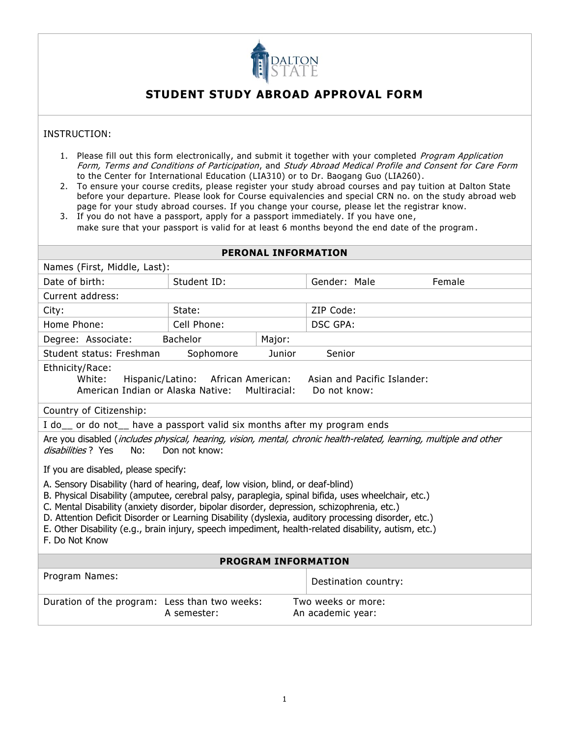

## **STUDENT STUDY ABROAD APPROVAL FORM**

## INSTRUCTION:

- 1. Please fill out this form electronically, and submit it together with your completed Program Application Form, Terms and Conditions of Participation, and Study Abroad Medical Profile and Consent for Care Form to the Center for International Education (LIA310) or to Dr. Baogang Guo (LIA260).
- 2. To ensure your course credits, please register your study abroad courses and pay tuition at Dalton State before your departure. Please look for Course equivalencies and special CRN no. on the study abroad web page for your study abroad courses. If you change your course, please let the registrar know.
- 3. If you do not have a passport, apply for a passport immediately. If you have one , make sure that your passport is valid for at least 6 months beyond the end date of the program .

| <b>PERONAL INFORMATION</b>                                                                                                                                                                                                                                                                                                                                                                                                                                                                                           |                           |        |                                         |                      |        |  |  |
|----------------------------------------------------------------------------------------------------------------------------------------------------------------------------------------------------------------------------------------------------------------------------------------------------------------------------------------------------------------------------------------------------------------------------------------------------------------------------------------------------------------------|---------------------------|--------|-----------------------------------------|----------------------|--------|--|--|
| Names (First, Middle, Last):                                                                                                                                                                                                                                                                                                                                                                                                                                                                                         |                           |        |                                         |                      |        |  |  |
| Date of birth:                                                                                                                                                                                                                                                                                                                                                                                                                                                                                                       | Student ID:               |        | Gender: Male                            |                      | Female |  |  |
| Current address:                                                                                                                                                                                                                                                                                                                                                                                                                                                                                                     |                           |        |                                         |                      |        |  |  |
| City:                                                                                                                                                                                                                                                                                                                                                                                                                                                                                                                | State:                    |        | ZIP Code:                               |                      |        |  |  |
| Home Phone:                                                                                                                                                                                                                                                                                                                                                                                                                                                                                                          | Cell Phone:               |        | <b>DSC GPA:</b>                         |                      |        |  |  |
| Degree: Associate:                                                                                                                                                                                                                                                                                                                                                                                                                                                                                                   | <b>Bachelor</b><br>Major: |        |                                         |                      |        |  |  |
| Student status: Freshman                                                                                                                                                                                                                                                                                                                                                                                                                                                                                             | Sophomore                 | Junior | Senior                                  |                      |        |  |  |
| Ethnicity/Race:<br>Hispanic/Latino: African American:<br>Asian and Pacific Islander:<br>White:<br>American Indian or Alaska Native: Multiracial:<br>Do not know:<br>Country of Citizenship:                                                                                                                                                                                                                                                                                                                          |                           |        |                                         |                      |        |  |  |
| I do comport of the vertex passes in the same than the set of the vertex of the set of the set of the set of the set of the set of the set of the set of the set of the set of the set of the set of the set of the set of the                                                                                                                                                                                                                                                                                       |                           |        |                                         |                      |        |  |  |
| Are you disabled (includes physical, hearing, vision, mental, chronic health-related, learning, multiple and other<br><i>disabilities</i> ? Yes<br>Don not know:<br>No:                                                                                                                                                                                                                                                                                                                                              |                           |        |                                         |                      |        |  |  |
| If you are disabled, please specify:                                                                                                                                                                                                                                                                                                                                                                                                                                                                                 |                           |        |                                         |                      |        |  |  |
| A. Sensory Disability (hard of hearing, deaf, low vision, blind, or deaf-blind)<br>B. Physical Disability (amputee, cerebral palsy, paraplegia, spinal bifida, uses wheelchair, etc.)<br>C. Mental Disability (anxiety disorder, bipolar disorder, depression, schizophrenia, etc.)<br>D. Attention Deficit Disorder or Learning Disability (dyslexia, auditory processing disorder, etc.)<br>E. Other Disability (e.g., brain injury, speech impediment, health-related disability, autism, etc.)<br>F. Do Not Know |                           |        |                                         |                      |        |  |  |
| <b>PROGRAM INFORMATION</b>                                                                                                                                                                                                                                                                                                                                                                                                                                                                                           |                           |        |                                         |                      |        |  |  |
| Program Names:                                                                                                                                                                                                                                                                                                                                                                                                                                                                                                       |                           |        |                                         | Destination country: |        |  |  |
| Duration of the program: Less than two weeks:                                                                                                                                                                                                                                                                                                                                                                                                                                                                        | A semester:               |        | Two weeks or more:<br>An academic year: |                      |        |  |  |